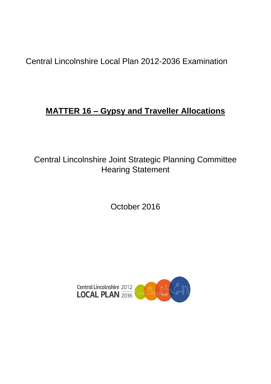Central Lincolnshire Local Plan 2012-2036 Examination

# **MATTER 16 – Gypsy and Traveller Allocations**

Central Lincolnshire Joint Strategic Planning Committee Hearing Statement

October 2016

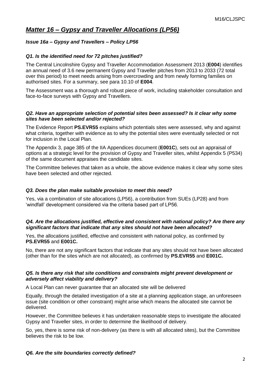# *Matter 16 – Gypsy and Traveller Allocations (LP56)*

# *Issue 16a – Gypsy and Travellers – Policy LP56*

# *Q1. Is the identified need for 72 pitches justified?*

The Central Lincolnshire Gypsy and Traveller Accommodation Assessment 2013 (**E004**) identifies an annual need of 3.6 new permanent Gypsy and Traveller pitches from 2013 to 2033 (72 total over this period) to meet needs arising from overcrowding and from newly forming families on authorised sites. For a summary, see para 10.10 of **E004**.

The Assessment was a thorough and robust piece of work, including stakeholder consultation and face-to-face surveys with Gypsy and Travellers.

#### *Q2. Have an appropriate selection of potential sites been assessed? Is it clear why some sites have been selected and/or rejected?*

The Evidence Report **PS.EVR55** explains which potentials sites were assessed, why and against what criteria, together with evidence as to why the potential sites were eventually selected or not for inclusion in the Local Plan.

The Appendix 3, page 385 of the IIA Appendices document (**E001C**), sets out an appraisal of options at a strategic level for the provision of Gypsy and Traveller sites, whilst Appendix 5 (P534) of the same document appraises the candidate sites.

The Committee believes that taken as a whole, the above evidence makes it clear why some sites have been selected and other rejected.

#### *Q3. Does the plan make suitable provision to meet this need?*

Yes, via a combination of site allocations (LP56), a contribution from SUEs (LP28) and from 'windfall' development considered via the criteria based part of LP56.

#### *Q4. Are the allocations justified, effective and consistent with national policy? Are there any significant factors that indicate that any sites should not have been allocated?*

Yes, the allocations justified, effective and consistent with national policy, as confirmed by **PS.EVR55** and **E001C.**

No, there are not any significant factors that indicate that any sites should not have been allocated (other than for the sites which are not allocated), as confirmed by **PS.EVR55** and **E001C.**

#### *Q5. Is there any risk that site conditions and constraints might prevent development or adversely affect viability and delivery?*

A Local Plan can never guarantee that an allocated site will be delivered

Equally, through the detailed investigation of a site at a planning application stage, an unforeseen issue (site condition or other constraint) might arise which means the allocated site cannot be delivered.

However, the Committee believes it has undertaken reasonable steps to investigate the allocated Gypsy and Traveller sites, in order to determine the likelihood of delivery.

So, yes, there is some risk of non-delivery (as there is with all allocated sites), but the Committee believes the risk to be low.

*Q6. Are the site boundaries correctly defined?*